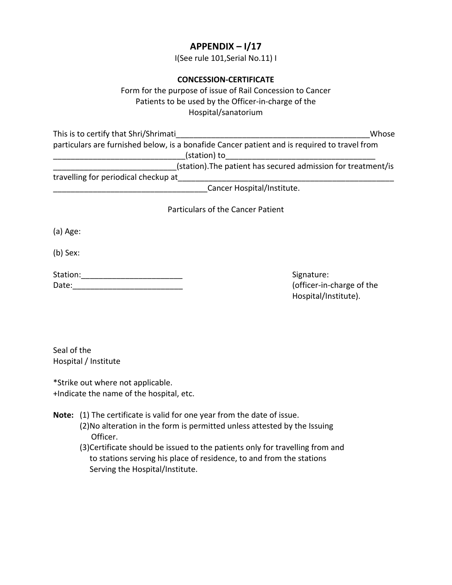# **APPENDIX – I/17**

I(See rule 101,Serial No.11) I

### **CONCESSION‐CERTIFICATE**

Form for the purpose of issue of Rail Concession to Cancer Patients to be used by the Officer‐in‐charge of the Hospital/sanatorium

| This is to certify that Shri/Shrimati                                                        | Whose |
|----------------------------------------------------------------------------------------------|-------|
| particulars are furnished below, is a bonafide Cancer patient and is required to travel from |       |
| (station) to                                                                                 |       |
| (station). The patient has secured admission for treatment/is                                |       |
| travelling for periodical checkup at                                                         |       |

\_\_\_\_\_\_\_\_\_\_\_\_\_\_\_\_\_\_\_\_\_\_\_\_\_\_\_\_\_\_\_\_\_\_\_Cancer Hospital/Institute.

Particulars of the Cancer Patient

(a) Age:

(b) Sex:

| Station: |  |  |
|----------|--|--|
| Date:    |  |  |

Signature: (officer-in-charge of the Hospital/Institute).

Seal of the Hospital / Institute

\*Strike out where not applicable. +Indicate the name of the hospital, etc.

**Note:** (1) The certificate is valid for one year from the date of issue.

- (2)No alteration in the form is permitted unless attested by the Issuing Officer.
- (3)Certificate should be issued to the patients only for travelling from and to stations serving his place of residence, to and from the stations Serving the Hospital/Institute.